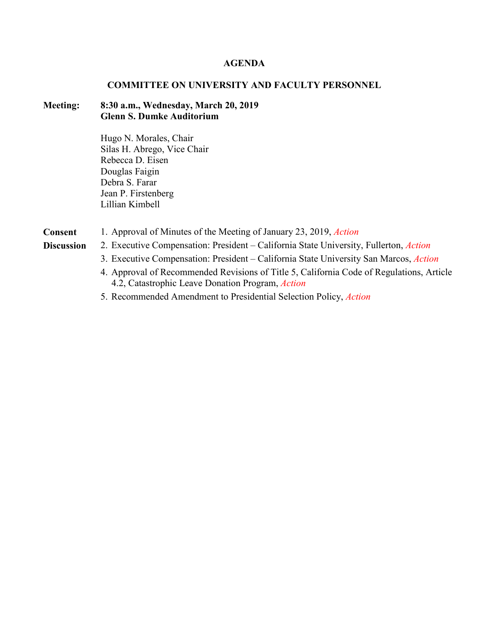#### **AGENDA**

## **COMMITTEE ON UNIVERSITY AND FACULTY PERSONNEL**

# **Meeting: 8:30 a.m., Wednesday, March 20, 2019 Glenn S. Dumke Auditorium**

Hugo N. Morales, Chair Silas H. Abrego, Vice Chair Rebecca D. Eisen Douglas Faigin Debra S. Farar Jean P. Firstenberg Lillian Kimbell

**Consent** 1. Approval of Minutes of the Meeting of January 23, 2019, *Action*

- 
- **Discussion** 2. Executive Compensation: President California State University, Fullerton, *Action*
	- 3. Executive Compensation: President California State University San Marcos, *Action*
	- 4. Approval of Recommended Revisions of Title 5, California Code of Regulations, Article 4.2, Catastrophic Leave Donation Program, *Action*
	- 5. Recommended Amendment to Presidential Selection Policy, *Action*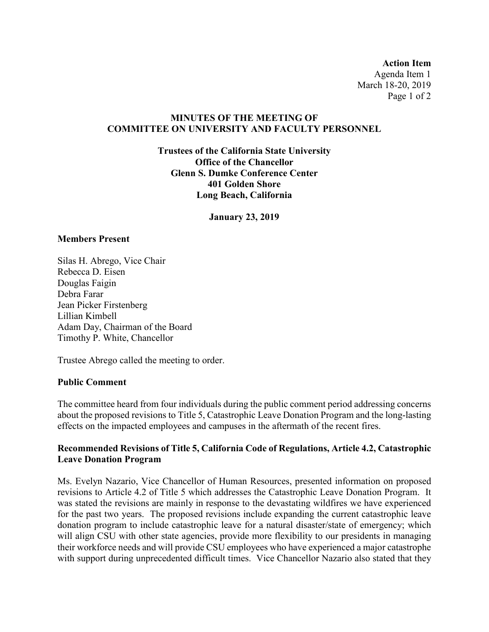**Action Item** Agenda Item 1 March 18-20, 2019 Page 1 of 2

# **MINUTES OF THE MEETING OF COMMITTEE ON UNIVERSITY AND FACULTY PERSONNEL**

**Trustees of the California State University Office of the Chancellor Glenn S. Dumke Conference Center 401 Golden Shore Long Beach, California**

**January 23, 2019**

## **Members Present**

Silas H. Abrego, Vice Chair Rebecca D. Eisen Douglas Faigin Debra Farar Jean Picker Firstenberg Lillian Kimbell Adam Day, Chairman of the Board Timothy P. White, Chancellor

Trustee Abrego called the meeting to order.

## **Public Comment**

The committee heard from four individuals during the public comment period addressing concerns about the proposed revisions to Title 5, Catastrophic Leave Donation Program and the long-lasting effects on the impacted employees and campuses in the aftermath of the recent fires.

# **Recommended Revisions of Title 5, California Code of Regulations, Article 4.2, Catastrophic Leave Donation Program**

Ms. Evelyn Nazario, Vice Chancellor of Human Resources, presented information on proposed revisions to Article 4.2 of Title 5 which addresses the Catastrophic Leave Donation Program. It was stated the revisions are mainly in response to the devastating wildfires we have experienced for the past two years. The proposed revisions include expanding the current catastrophic leave donation program to include catastrophic leave for a natural disaster/state of emergency; which will align CSU with other state agencies, provide more flexibility to our presidents in managing their workforce needs and will provide CSU employees who have experienced a major catastrophe with support during unprecedented difficult times. Vice Chancellor Nazario also stated that they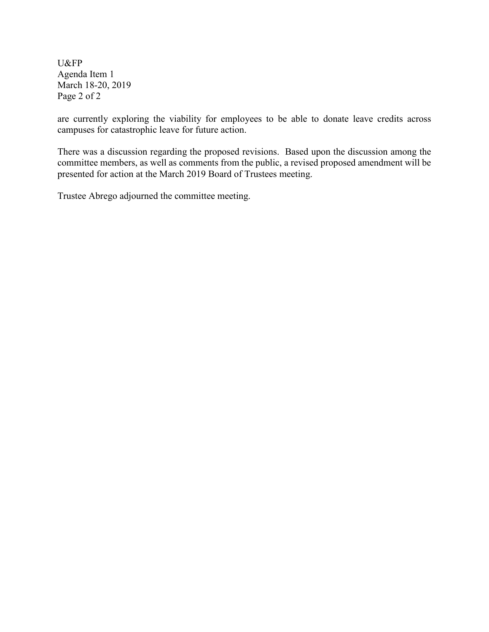U&FP Agenda Item 1 March 18-20, 2019 Page 2 of 2

are currently exploring the viability for employees to be able to donate leave credits across campuses for catastrophic leave for future action.

There was a discussion regarding the proposed revisions. Based upon the discussion among the committee members, as well as comments from the public, a revised proposed amendment will be presented for action at the March 2019 Board of Trustees meeting.

Trustee Abrego adjourned the committee meeting.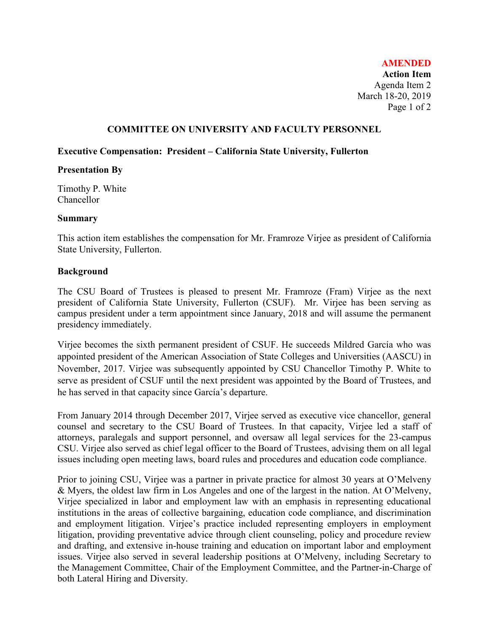**Action Item** Agenda Item 2 March 18-20, 2019 Page 1 of 2

## **COMMITTEE ON UNIVERSITY AND FACULTY PERSONNEL**

#### **Executive Compensation: President – California State University, Fullerton**

## **Presentation By**

Timothy P. White Chancellor

## **Summary**

This action item establishes the compensation for Mr. Framroze Virjee as president of California State University, Fullerton.

## **Background**

The CSU Board of Trustees is pleased to present Mr. Framroze (Fram) Virjee as the next president of California State University, Fullerton (CSUF). Mr. Virjee has been serving as campus president under a term appointment since January, 2018 and will assume the permanent presidency immediately.

Virjee becomes the sixth permanent president of CSUF. He succeeds Mildred García who was appointed president of the American Association of State Colleges and Universities (AASCU) in November, 2017. Virjee was subsequently appointed by CSU Chancellor Timothy P. White to serve as president of CSUF until the next president was appointed by the Board of Trustees, and he has served in that capacity since García's departure.

From January 2014 through December 2017, Virjee served as executive vice chancellor, general counsel and secretary to the CSU Board of Trustees. In that capacity, Virjee led a staff of attorneys, paralegals and support personnel, and oversaw all legal services for the 23-campus CSU. Virjee also served as chief legal officer to the Board of Trustees, advising them on all legal issues including open meeting laws, board rules and procedures and education code compliance.

Prior to joining CSU, Virjee was a partner in private practice for almost 30 years at O'Melveny & Myers, the oldest law firm in Los Angeles and one of the largest in the nation. At O'Melveny, Virjee specialized in labor and employment law with an emphasis in representing educational institutions in the areas of collective bargaining, education code compliance, and discrimination and employment litigation. Virjee's practice included representing employers in employment litigation, providing preventative advice through client counseling, policy and procedure review and drafting, and extensive in-house training and education on important labor and employment issues. Virjee also served in several leadership positions at O'Melveny, including Secretary to the Management Committee, Chair of the Employment Committee, and the Partner-in-Charge of both Lateral Hiring and Diversity.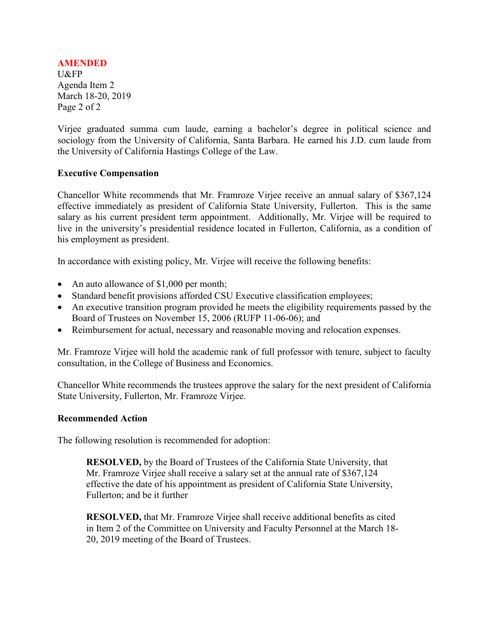U&FP Agenda Item 2 March 18-20, 2019 Page 2 of 2

Virjee graduated summa cum laude, earning a bachelor's degree in political science and sociology from the University of California, Santa Barbara. He earned his J.D. cum laude from the University of California Hastings College of the Law.

## **Executive Compensation**

Chancellor White recommends that Mr. Framroze Virjee receive an annual salary of \$367,124 effective immediately as president of California State University, Fullerton. This is the same salary as his current president term appointment. Additionally, Mr. Virjee will be required to live in the university's presidential residence located in Fullerton, California, as a condition of his employment as president.

In accordance with existing policy, Mr. Virjee will receive the following benefits:

- An auto allowance of \$1,000 per month;
- Standard benefit provisions afforded CSU Executive classification employees;
- An executive transition program provided he meets the eligibility requirements passed by the Board of Trustees on November 15, 2006 (RUFP 11-06-06); and
- Reimbursement for actual, necessary and reasonable moving and relocation expenses.

Mr. Framroze Virjee will hold the academic rank of full professor with tenure, subject to faculty consultation, in the College of Business and Economics.

Chancellor White recommends the trustees approve the salary for the next president of California State University, Fullerton, Mr. Framroze Virjee.

#### **Recommended Action**

The following resolution is recommended for adoption:

**RESOLVED,** by the Board of Trustees of the California State University, that Mr. Framroze Virjee shall receive a salary set at the annual rate of \$367,124 effective the date of his appointment as president of California State University, Fullerton; and be it further

**RESOLVED,** that Mr. Framroze Virjee shall receive additional benefits as cited in Item 2 of the Committee on University and Faculty Personnel at the March 18- 20, 2019 meeting of the Board of Trustees.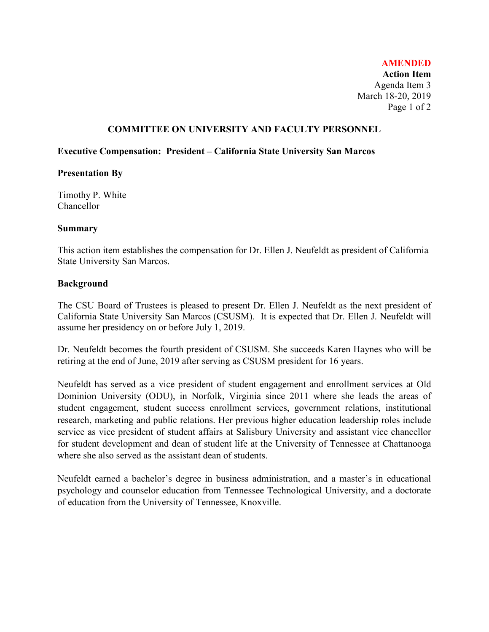**Action Item** Agenda Item 3 March 18-20, 2019 Page 1 of 2

#### **COMMITTEE ON UNIVERSITY AND FACULTY PERSONNEL**

#### **Executive Compensation: President – California State University San Marcos**

## **Presentation By**

Timothy P. White Chancellor

## **Summary**

This action item establishes the compensation for Dr. Ellen J. Neufeldt as president of California State University San Marcos.

## **Background**

The CSU Board of Trustees is pleased to present Dr. Ellen J. Neufeldt as the next president of California State University San Marcos (CSUSM). It is expected that Dr. Ellen J. Neufeldt will assume her presidency on or before July 1, 2019.

Dr. Neufeldt becomes the fourth president of CSUSM. She succeeds Karen Haynes who will be retiring at the end of June, 2019 after serving as CSUSM president for 16 years.

Neufeldt has served as a vice president of student engagement and enrollment services at Old Dominion University (ODU), in Norfolk, Virginia since 2011 where she leads the areas of student engagement, student success enrollment services, government relations, institutional research, marketing and public relations. Her previous higher education leadership roles include service as vice president of student affairs at Salisbury University and assistant vice chancellor for student development and dean of student life at the University of Tennessee at Chattanooga where she also served as the assistant dean of students.

Neufeldt earned a bachelor's degree in business administration, and a master's in educational psychology and counselor education from Tennessee Technological University, and a doctorate of education from the University of Tennessee, Knoxville.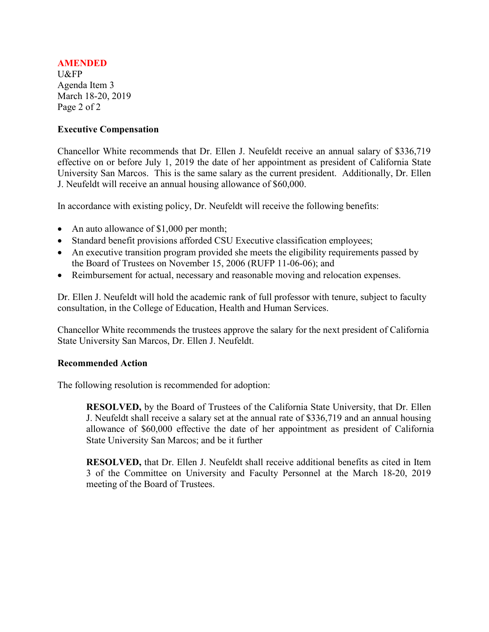U&FP Agenda Item 3 March 18-20, 2019 Page 2 of 2

## **Executive Compensation**

Chancellor White recommends that Dr. Ellen J. Neufeldt receive an annual salary of \$336,719 effective on or before July 1, 2019 the date of her appointment as president of California State University San Marcos. This is the same salary as the current president. Additionally, Dr. Ellen J. Neufeldt will receive an annual housing allowance of \$60,000.

In accordance with existing policy, Dr. Neufeldt will receive the following benefits:

- An auto allowance of \$1,000 per month;
- Standard benefit provisions afforded CSU Executive classification employees;
- An executive transition program provided she meets the eligibility requirements passed by the Board of Trustees on November 15, 2006 (RUFP 11-06-06); and
- Reimbursement for actual, necessary and reasonable moving and relocation expenses.

Dr. Ellen J. Neufeldt will hold the academic rank of full professor with tenure, subject to faculty consultation, in the College of Education, Health and Human Services.

Chancellor White recommends the trustees approve the salary for the next president of California State University San Marcos, Dr. Ellen J. Neufeldt.

## **Recommended Action**

The following resolution is recommended for adoption:

**RESOLVED,** by the Board of Trustees of the California State University, that Dr. Ellen J. Neufeldt shall receive a salary set at the annual rate of \$336,719 and an annual housing allowance of \$60,000 effective the date of her appointment as president of California State University San Marcos; and be it further

**RESOLVED,** that Dr. Ellen J. Neufeldt shall receive additional benefits as cited in Item 3 of the Committee on University and Faculty Personnel at the March 18-20, 2019 meeting of the Board of Trustees.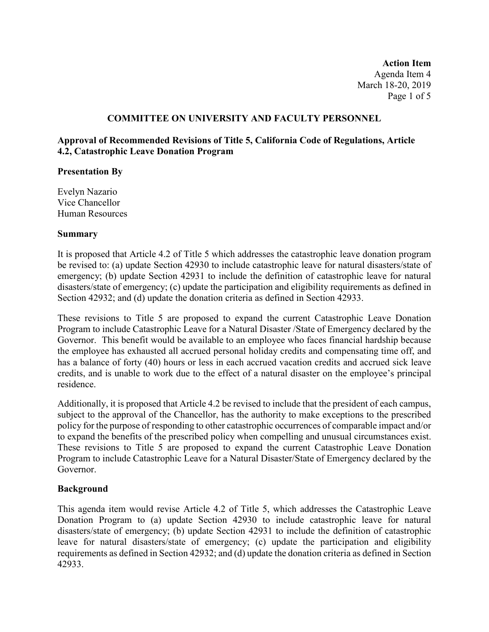**Action Item** Agenda Item 4 March 18-20, 2019 Page 1 of 5

# **COMMITTEE ON UNIVERSITY AND FACULTY PERSONNEL**

# **Approval of Recommended Revisions of Title 5, California Code of Regulations, Article 4.2, Catastrophic Leave Donation Program**

## **Presentation By**

Evelyn Nazario Vice Chancellor Human Resources

## **Summary**

It is proposed that Article 4.2 of Title 5 which addresses the catastrophic leave donation program be revised to: (a) update Section 42930 to include catastrophic leave for natural disasters/state of emergency; (b) update Section 42931 to include the definition of catastrophic leave for natural disasters/state of emergency; (c) update the participation and eligibility requirements as defined in Section 42932; and (d) update the donation criteria as defined in Section 42933.

These revisions to Title 5 are proposed to expand the current Catastrophic Leave Donation Program to include Catastrophic Leave for a Natural Disaster /State of Emergency declared by the Governor. This benefit would be available to an employee who faces financial hardship because the employee has exhausted all accrued personal holiday credits and compensating time off, and has a balance of forty (40) hours or less in each accrued vacation credits and accrued sick leave credits, and is unable to work due to the effect of a natural disaster on the employee's principal residence.

Additionally, it is proposed that Article 4.2 be revised to include that the president of each campus, subject to the approval of the Chancellor, has the authority to make exceptions to the prescribed policy for the purpose of responding to other catastrophic occurrences of comparable impact and/or to expand the benefits of the prescribed policy when compelling and unusual circumstances exist. These revisions to Title 5 are proposed to expand the current Catastrophic Leave Donation Program to include Catastrophic Leave for a Natural Disaster/State of Emergency declared by the Governor.

## **Background**

This agenda item would revise Article 4.2 of Title 5, which addresses the Catastrophic Leave Donation Program to (a) update Section 42930 to include catastrophic leave for natural disasters/state of emergency; (b) update Section 42931 to include the definition of catastrophic leave for natural disasters/state of emergency; (c) update the participation and eligibility requirements as defined in Section 42932; and (d) update the donation criteria as defined in Section 42933.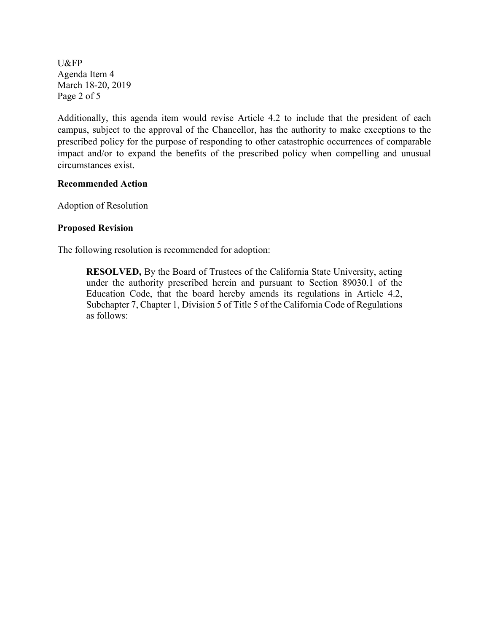U&FP Agenda Item 4 March 18-20, 2019 Page 2 of 5

Additionally, this agenda item would revise Article 4.2 to include that the president of each campus, subject to the approval of the Chancellor, has the authority to make exceptions to the prescribed policy for the purpose of responding to other catastrophic occurrences of comparable impact and/or to expand the benefits of the prescribed policy when compelling and unusual circumstances exist.

## **Recommended Action**

Adoption of Resolution

## **Proposed Revision**

The following resolution is recommended for adoption:

**RESOLVED,** By the Board of Trustees of the California State University, acting under the authority prescribed herein and pursuant to Section 89030.1 of the Education Code, that the board hereby amends its regulations in Article 4.2, Subchapter 7, Chapter 1, Division 5 of Title 5 of the California Code of Regulations as follows: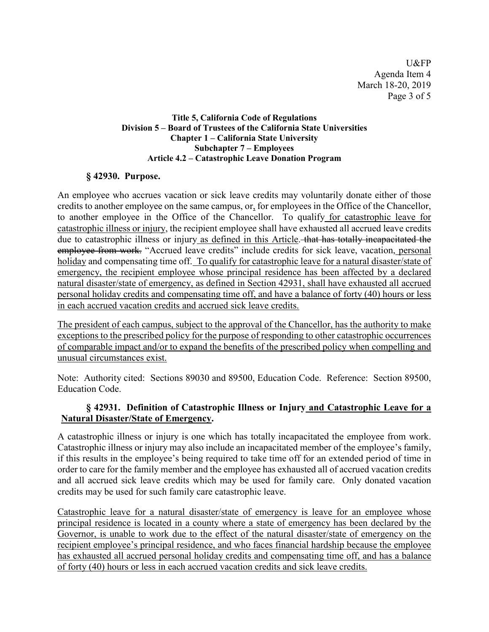U&FP Agenda Item 4 March 18-20, 2019 Page 3 of 5

## **Title 5, California Code of Regulations Division 5 – Board of Trustees of the California State Universities Chapter 1 – California State University Subchapter 7 – Employees Article 4.2 – Catastrophic Leave Donation Program**

# **§ 42930. Purpose.**

An employee who accrues vacation or sick leave credits may voluntarily donate either of those credits to another employee on the same campus, or, for employees in the Office of the Chancellor, to another employee in the Office of the Chancellor. To qualify for catastrophic leave for catastrophic illness or injury, the recipient employee shall have exhausted all accrued leave credits due to catastrophic illness or injury as defined in this Article. that has totally incapacitated the employee from work. "Accrued leave credits" include credits for sick leave, vacation, personal holiday and compensating time off. To qualify for catastrophic leave for a natural disaster/state of emergency, the recipient employee whose principal residence has been affected by a declared natural disaster/state of emergency, as defined in Section 42931, shall have exhausted all accrued personal holiday credits and compensating time off, and have a balance of forty (40) hours or less in each accrued vacation credits and accrued sick leave credits.

The president of each campus, subject to the approval of the Chancellor, has the authority to make exceptions to the prescribed policy for the purpose of responding to other catastrophic occurrences of comparable impact and/or to expand the benefits of the prescribed policy when compelling and unusual circumstances exist.

Note: Authority cited: Sections 89030 and 89500, Education Code. Reference: Section 89500, Education Code.

# **§ 42931. Definition of Catastrophic Illness or Injury and Catastrophic Leave for a Natural Disaster/State of Emergency.**

A catastrophic illness or injury is one which has totally incapacitated the employee from work. Catastrophic illness or injury may also include an incapacitated member of the employee's family, if this results in the employee's being required to take time off for an extended period of time in order to care for the family member and the employee has exhausted all of accrued vacation credits and all accrued sick leave credits which may be used for family care. Only donated vacation credits may be used for such family care catastrophic leave.

Catastrophic leave for a natural disaster/state of emergency is leave for an employee whose principal residence is located in a county where a state of emergency has been declared by the Governor, is unable to work due to the effect of the natural disaster/state of emergency on the recipient employee's principal residence, and who faces financial hardship because the employee has exhausted all accrued personal holiday credits and compensating time off, and has a balance of forty (40) hours or less in each accrued vacation credits and sick leave credits.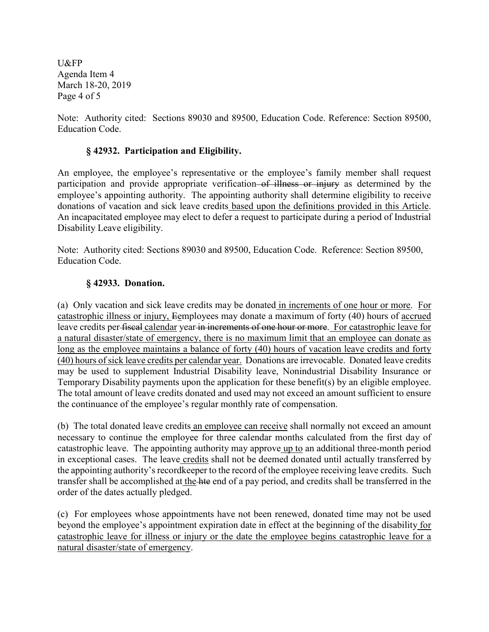U&FP Agenda Item 4 March 18-20, 2019 Page 4 of 5

Note: Authority cited: Sections 89030 and 89500, Education Code. Reference: Section 89500, Education Code.

# **§ 42932. Participation and Eligibility.**

An employee, the employee's representative or the employee's family member shall request participation and provide appropriate verification of illness or injury as determined by the employee's appointing authority. The appointing authority shall determine eligibility to receive donations of vacation and sick leave credits based upon the definitions provided in this Article. An incapacitated employee may elect to defer a request to participate during a period of Industrial Disability Leave eligibility.

Note: Authority cited: Sections 89030 and 89500, Education Code. Reference: Section 89500, Education Code.

# **§ 42933. Donation.**

(a) Only vacation and sick leave credits may be donated in increments of one hour or more. For catastrophic illness or injury, Eemployees may donate a maximum of forty (40) hours of accrued leave credits per-fiscal calendar year in increments of one hour or more. For catastrophic leave for a natural disaster/state of emergency, there is no maximum limit that an employee can donate as long as the employee maintains a balance of forty (40) hours of vacation leave credits and forty (40) hours of sick leave credits per calendar year. Donations are irrevocable. Donated leave credits may be used to supplement Industrial Disability leave, Nonindustrial Disability Insurance or Temporary Disability payments upon the application for these benefit(s) by an eligible employee. The total amount of leave credits donated and used may not exceed an amount sufficient to ensure the continuance of the employee's regular monthly rate of compensation.

(b) The total donated leave credits an employee can receive shall normally not exceed an amount necessary to continue the employee for three calendar months calculated from the first day of catastrophic leave. The appointing authority may approve up to an additional three-month period in exceptional cases. The leave credits shall not be deemed donated until actually transferred by the appointing authority's recordkeeper to the record of the employee receiving leave credits. Such transfer shall be accomplished at the hte end of a pay period, and credits shall be transferred in the order of the dates actually pledged.

(c) For employees whose appointments have not been renewed, donated time may not be used beyond the employee's appointment expiration date in effect at the beginning of the disability for catastrophic leave for illness or injury or the date the employee begins catastrophic leave for a natural disaster/state of emergency.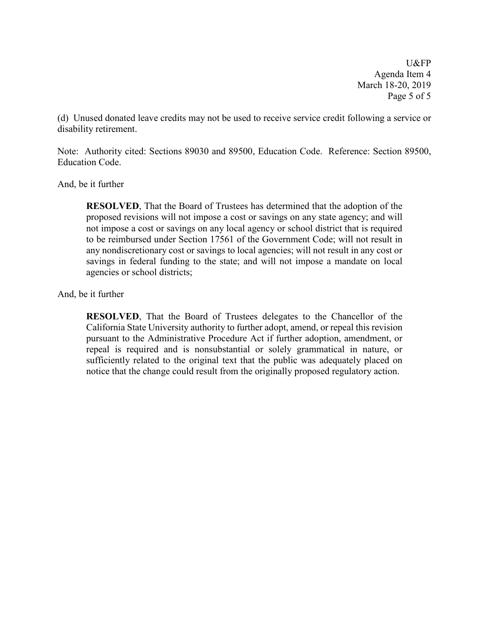U&FP Agenda Item 4 March 18-20, 2019 Page 5 of 5

(d) Unused donated leave credits may not be used to receive service credit following a service or disability retirement.

Note: Authority cited: Sections 89030 and 89500, Education Code. Reference: Section 89500, Education Code.

And, be it further

**RESOLVED**, That the Board of Trustees has determined that the adoption of the proposed revisions will not impose a cost or savings on any state agency; and will not impose a cost or savings on any local agency or school district that is required to be reimbursed under Section 17561 of the Government Code; will not result in any nondiscretionary cost or savings to local agencies; will not result in any cost or savings in federal funding to the state; and will not impose a mandate on local agencies or school districts;

And, be it further

**RESOLVED**, That the Board of Trustees delegates to the Chancellor of the California State University authority to further adopt, amend, or repeal this revision pursuant to the Administrative Procedure Act if further adoption, amendment, or repeal is required and is nonsubstantial or solely grammatical in nature, or sufficiently related to the original text that the public was adequately placed on notice that the change could result from the originally proposed regulatory action.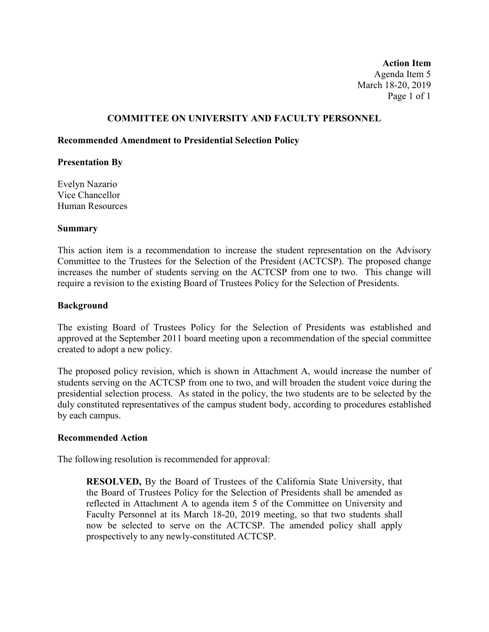**Action Item** Agenda Item 5 March 18-20, 2019 Page 1 of 1

## **COMMITTEE ON UNIVERSITY AND FACULTY PERSONNEL**

## **Recommended Amendment to Presidential Selection Policy**

## **Presentation By**

Evelyn Nazario Vice Chancellor Human Resources

## **Summary**

This action item is a recommendation to increase the student representation on the Advisory Committee to the Trustees for the Selection of the President (ACTCSP). The proposed change increases the number of students serving on the ACTCSP from one to two. This change will require a revision to the existing Board of Trustees Policy for the Selection of Presidents.

## **Background**

The existing Board of Trustees Policy for the Selection of Presidents was established and approved at the September 2011 board meeting upon a recommendation of the special committee created to adopt a new policy.

The proposed policy revision, which is shown in Attachment A, would increase the number of students serving on the ACTCSP from one to two, and will broaden the student voice during the presidential selection process. As stated in the policy, the two students are to be selected by the duly constituted representatives of the campus student body, according to procedures established by each campus.

## **Recommended Action**

The following resolution is recommended for approval:

**RESOLVED,** By the Board of Trustees of the California State University, that the Board of Trustees Policy for the Selection of Presidents shall be amended as reflected in Attachment A to agenda item 5 of the Committee on University and Faculty Personnel at its March 18-20, 2019 meeting, so that two students shall now be selected to serve on the ACTCSP. The amended policy shall apply prospectively to any newly-constituted ACTCSP.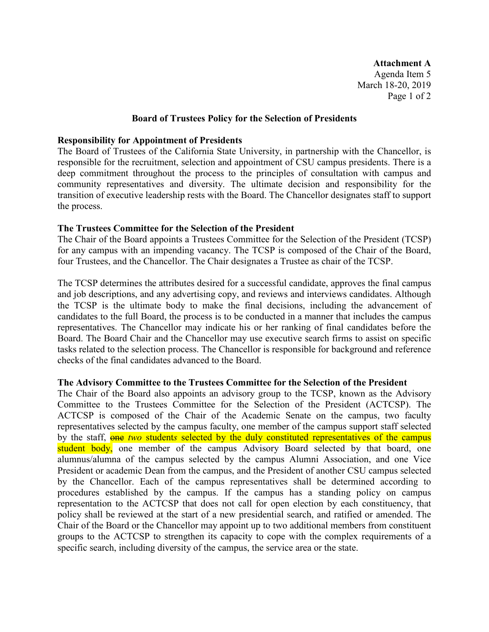**Attachment A** Agenda Item 5 March 18-20, 2019 Page 1 of 2

#### **Board of Trustees Policy for the Selection of Presidents**

#### **Responsibility for Appointment of Presidents**

The Board of Trustees of the California State University, in partnership with the Chancellor, is responsible for the recruitment, selection and appointment of CSU campus presidents. There is a deep commitment throughout the process to the principles of consultation with campus and community representatives and diversity. The ultimate decision and responsibility for the transition of executive leadership rests with the Board. The Chancellor designates staff to support the process.

## **The Trustees Committee for the Selection of the President**

The Chair of the Board appoints a Trustees Committee for the Selection of the President (TCSP) for any campus with an impending vacancy. The TCSP is composed of the Chair of the Board, four Trustees, and the Chancellor. The Chair designates a Trustee as chair of the TCSP.

The TCSP determines the attributes desired for a successful candidate, approves the final campus and job descriptions, and any advertising copy, and reviews and interviews candidates. Although the TCSP is the ultimate body to make the final decisions, including the advancement of candidates to the full Board, the process is to be conducted in a manner that includes the campus representatives. The Chancellor may indicate his or her ranking of final candidates before the Board. The Board Chair and the Chancellor may use executive search firms to assist on specific tasks related to the selection process. The Chancellor is responsible for background and reference checks of the final candidates advanced to the Board.

#### **The Advisory Committee to the Trustees Committee for the Selection of the President**

The Chair of the Board also appoints an advisory group to the TCSP, known as the Advisory Committee to the Trustees Committee for the Selection of the President (ACTCSP). The ACTCSP is composed of the Chair of the Academic Senate on the campus, two faculty representatives selected by the campus faculty, one member of the campus support staff selected by the staff, **one** two students selected by the duly constituted representatives of the campus student body, one member of the campus Advisory Board selected by that board, one alumnus/alumna of the campus selected by the campus Alumni Association, and one Vice President or academic Dean from the campus, and the President of another CSU campus selected by the Chancellor. Each of the campus representatives shall be determined according to procedures established by the campus. If the campus has a standing policy on campus representation to the ACTCSP that does not call for open election by each constituency, that policy shall be reviewed at the start of a new presidential search, and ratified or amended. The Chair of the Board or the Chancellor may appoint up to two additional members from constituent groups to the ACTCSP to strengthen its capacity to cope with the complex requirements of a specific search, including diversity of the campus, the service area or the state.